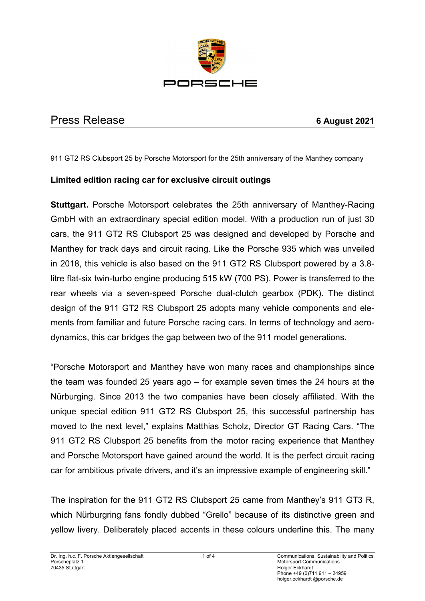

# Press Release **6 August 2021**

### 911 GT2 RS Clubsport 25 by Porsche Motorsport for the 25th anniversary of the Manthey company

# **Limited edition racing car for exclusive circuit outings**

**Stuttgart.** Porsche Motorsport celebrates the 25th anniversary of Manthey-Racing GmbH with an extraordinary special edition model. With a production run of just 30 cars, the 911 GT2 RS Clubsport 25 was designed and developed by Porsche and Manthey for track days and circuit racing. Like the Porsche 935 which was unveiled in 2018, this vehicle is also based on the 911 GT2 RS Clubsport powered by a 3.8 litre flat-six twin-turbo engine producing 515 kW (700 PS). Power is transferred to the rear wheels via a seven-speed Porsche dual-clutch gearbox (PDK). The distinct design of the 911 GT2 RS Clubsport 25 adopts many vehicle components and elements from familiar and future Porsche racing cars. In terms of technology and aerodynamics, this car bridges the gap between two of the 911 model generations.

"Porsche Motorsport and Manthey have won many races and championships since the team was founded 25 years ago – for example seven times the 24 hours at the Nürburging. Since 2013 the two companies have been closely affiliated. With the unique special edition 911 GT2 RS Clubsport 25, this successful partnership has moved to the next level," explains Matthias Scholz, Director GT Racing Cars. "The 911 GT2 RS Clubsport 25 benefits from the motor racing experience that Manthey and Porsche Motorsport have gained around the world. It is the perfect circuit racing car for ambitious private drivers, and it's an impressive example of engineering skill."

The inspiration for the 911 GT2 RS Clubsport 25 came from Manthey's 911 GT3 R, which Nürburgring fans fondly dubbed "Grello" because of its distinctive green and yellow livery. Deliberately placed accents in these colours underline this. The many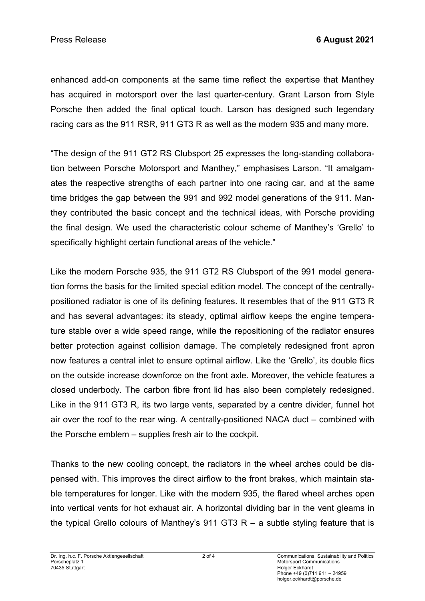enhanced add-on components at the same time reflect the expertise that Manthey has acquired in motorsport over the last quarter-century. Grant Larson from Style Porsche then added the final optical touch. Larson has designed such legendary racing cars as the 911 RSR, 911 GT3 R as well as the modern 935 and many more.

"The design of the 911 GT2 RS Clubsport 25 expresses the long-standing collaboration between Porsche Motorsport and Manthey," emphasises Larson. "It amalgamates the respective strengths of each partner into one racing car, and at the same time bridges the gap between the 991 and 992 model generations of the 911. Manthey contributed the basic concept and the technical ideas, with Porsche providing the final design. We used the characteristic colour scheme of Manthey's 'Grello' to specifically highlight certain functional areas of the vehicle."

Like the modern Porsche 935, the 911 GT2 RS Clubsport of the 991 model generation forms the basis for the limited special edition model. The concept of the centrallypositioned radiator is one of its defining features. It resembles that of the 911 GT3 R and has several advantages: its steady, optimal airflow keeps the engine temperature stable over a wide speed range, while the repositioning of the radiator ensures better protection against collision damage. The completely redesigned front apron now features a central inlet to ensure optimal airflow. Like the 'Grello', its double flics on the outside increase downforce on the front axle. Moreover, the vehicle features a closed underbody. The carbon fibre front lid has also been completely redesigned. Like in the 911 GT3 R, its two large vents, separated by a centre divider, funnel hot air over the roof to the rear wing. A centrally-positioned NACA duct – combined with the Porsche emblem – supplies fresh air to the cockpit.

Thanks to the new cooling concept, the radiators in the wheel arches could be dispensed with. This improves the direct airflow to the front brakes, which maintain stable temperatures for longer. Like with the modern 935, the flared wheel arches open into vertical vents for hot exhaust air. A horizontal dividing bar in the vent gleams in the typical Grello colours of Manthey's 911 GT3  $R - a$  subtle styling feature that is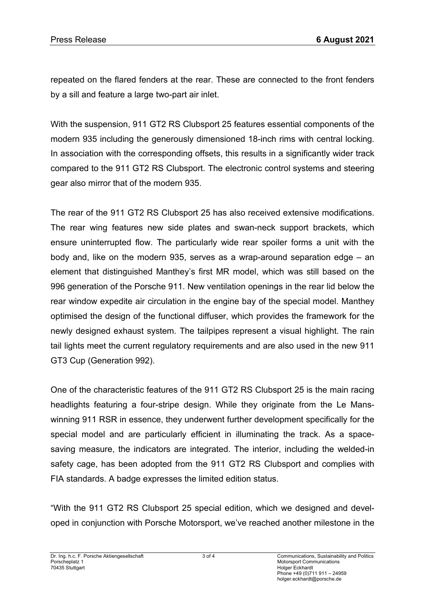repeated on the flared fenders at the rear. These are connected to the front fenders by a sill and feature a large two-part air inlet.

With the suspension, 911 GT2 RS Clubsport 25 features essential components of the modern 935 including the generously dimensioned 18-inch rims with central locking. In association with the corresponding offsets, this results in a significantly wider track compared to the 911 GT2 RS Clubsport. The electronic control systems and steering gear also mirror that of the modern 935.

The rear of the 911 GT2 RS Clubsport 25 has also received extensive modifications. The rear wing features new side plates and swan-neck support brackets, which ensure uninterrupted flow. The particularly wide rear spoiler forms a unit with the body and, like on the modern 935, serves as a wrap-around separation edge – an element that distinguished Manthey's first MR model, which was still based on the 996 generation of the Porsche 911. New ventilation openings in the rear lid below the rear window expedite air circulation in the engine bay of the special model. Manthey optimised the design of the functional diffuser, which provides the framework for the newly designed exhaust system. The tailpipes represent a visual highlight. The rain tail lights meet the current regulatory requirements and are also used in the new 911 GT3 Cup (Generation 992).

One of the characteristic features of the 911 GT2 RS Clubsport 25 is the main racing headlights featuring a four-stripe design. While they originate from the Le Manswinning 911 RSR in essence, they underwent further development specifically for the special model and are particularly efficient in illuminating the track. As a spacesaving measure, the indicators are integrated. The interior, including the welded-in safety cage, has been adopted from the 911 GT2 RS Clubsport and complies with FIA standards. A badge expresses the limited edition status.

"With the 911 GT2 RS Clubsport 25 special edition, which we designed and developed in conjunction with Porsche Motorsport, we've reached another milestone in the